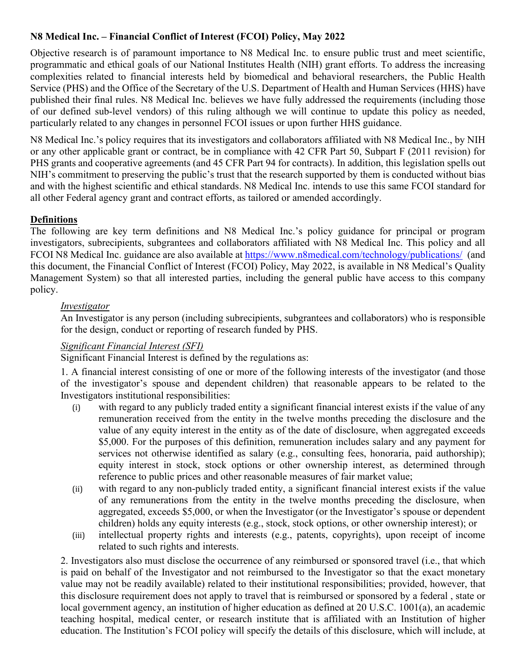# **N8 Medical Inc. – Financial Conflict of Interest (FCOI) Policy, May 2022**

Objective research is of paramount importance to N8 Medical Inc. to ensure public trust and meet scientific, programmatic and ethical goals of our National Institutes Health (NIH) grant efforts. To address the increasing complexities related to financial interests held by biomedical and behavioral researchers, the Public Health Service (PHS) and the Office of the Secretary of the U.S. Department of Health and Human Services (HHS) have published their final rules. N8 Medical Inc. believes we have fully addressed the requirements (including those of our defined sub-level vendors) of this ruling although we will continue to update this policy as needed, particularly related to any changes in personnel FCOI issues or upon further HHS guidance.

N8 Medical Inc.'s policy requires that its investigators and collaborators affiliated with N8 Medical Inc., by NIH or any other applicable grant or contract, be in compliance with 42 CFR Part 50, Subpart F (2011 revision) for PHS grants and cooperative agreements (and 45 CFR Part 94 for contracts). In addition, this legislation spells out NIH's commitment to preserving the public's trust that the research supported by them is conducted without bias and with the highest scientific and ethical standards. N8 Medical Inc. intends to use this same FCOI standard for all other Federal agency grant and contract efforts, as tailored or amended accordingly.

# **Definitions**

The following are key term definitions and N8 Medical Inc.'s policy guidance for principal or program investigators, subrecipients, subgrantees and collaborators affiliated with N8 Medical Inc. This policy and all FCOI N8 Medical Inc. guidance are also available at <https://www.n8medical.com/technology/publications/> (and this document, the Financial Conflict of Interest (FCOI) Policy, May 2022, is available in N8 Medical's Quality Management System) so that all interested parties, including the general public have access to this company policy.

# *Investigator*

An Investigator is any person (including subrecipients, subgrantees and collaborators) who is responsible for the design, conduct or reporting of research funded by PHS.

# *Significant Financial Interest (SFI)*

Significant Financial Interest is defined by the regulations as:

1. A financial interest consisting of one or more of the following interests of the investigator (and those of the investigator's spouse and dependent children) that reasonable appears to be related to the Investigators institutional responsibilities:

- (i) with regard to any publicly traded entity a significant financial interest exists if the value of any remuneration received from the entity in the twelve months preceding the disclosure and the value of any equity interest in the entity as of the date of disclosure, when aggregated exceeds \$5,000. For the purposes of this definition, remuneration includes salary and any payment for services not otherwise identified as salary (e.g., consulting fees, honoraria, paid authorship); equity interest in stock, stock options or other ownership interest, as determined through reference to public prices and other reasonable measures of fair market value;
- (ii) with regard to any non-publicly traded entity, a significant financial interest exists if the value of any remunerations from the entity in the twelve months preceding the disclosure, when aggregated, exceeds \$5,000, or when the Investigator (or the Investigator's spouse or dependent children) holds any equity interests (e.g., stock, stock options, or other ownership interest); or
- (iii) intellectual property rights and interests (e.g., patents, copyrights), upon receipt of income related to such rights and interests.

2. Investigators also must disclose the occurrence of any reimbursed or sponsored travel (i.e., that which is paid on behalf of the Investigator and not reimbursed to the Investigator so that the exact monetary value may not be readily available) related to their institutional responsibilities; provided, however, that this disclosure requirement does not apply to travel that is reimbursed or sponsored by a federal , state or local government agency, an institution of higher education as defined at 20 U.S.C. 1001(a), an academic teaching hospital, medical center, or research institute that is affiliated with an Institution of higher education. The Institution's FCOI policy will specify the details of this disclosure, which will include, at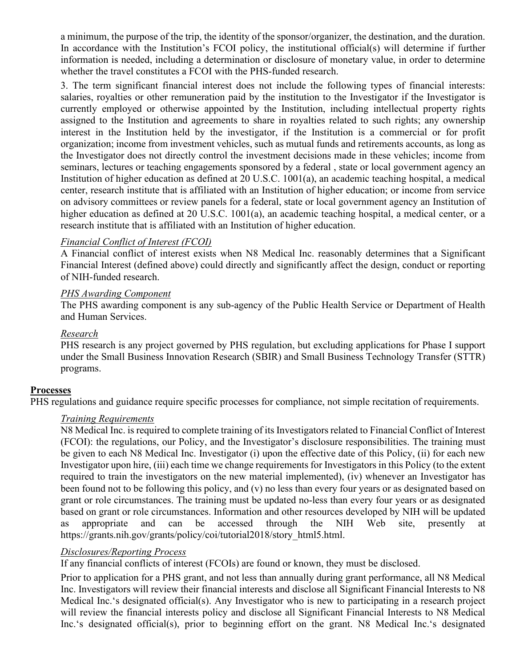a minimum, the purpose of the trip, the identity of the sponsor/organizer, the destination, and the duration. In accordance with the Institution's FCOI policy, the institutional official(s) will determine if further information is needed, including a determination or disclosure of monetary value, in order to determine whether the travel constitutes a FCOI with the PHS-funded research.

3. The term significant financial interest does not include the following types of financial interests: salaries, royalties or other remuneration paid by the institution to the Investigator if the Investigator is currently employed or otherwise appointed by the Institution, including intellectual property rights assigned to the Institution and agreements to share in royalties related to such rights; any ownership interest in the Institution held by the investigator, if the Institution is a commercial or for profit organization; income from investment vehicles, such as mutual funds and retirements accounts, as long as the Investigator does not directly control the investment decisions made in these vehicles; income from seminars, lectures or teaching engagements sponsored by a federal , state or local government agency an Institution of higher education as defined at 20 U.S.C. 1001(a), an academic teaching hospital, a medical center, research institute that is affiliated with an Institution of higher education; or income from service on advisory committees or review panels for a federal, state or local government agency an Institution of higher education as defined at 20 U.S.C. 1001(a), an academic teaching hospital, a medical center, or a research institute that is affiliated with an Institution of higher education.

## *Financial Conflict of Interest (FCOI)*

A Financial conflict of interest exists when N8 Medical Inc. reasonably determines that a Significant Financial Interest (defined above) could directly and significantly affect the design, conduct or reporting of NIH-funded research.

## *PHS Awarding Component*

The PHS awarding component is any sub-agency of the Public Health Service or Department of Health and Human Services.

## *Research*

PHS research is any project governed by PHS regulation, but excluding applications for Phase I support under the Small Business Innovation Research (SBIR) and Small Business Technology Transfer (STTR) programs.

## **Processes**

PHS regulations and guidance require specific processes for compliance, not simple recitation of requirements.

## *Training Requirements*

N8 Medical Inc. is required to complete training of its Investigators related to Financial Conflict of Interest (FCOI): the regulations, our Policy, and the Investigator's disclosure responsibilities. The training must be given to each N8 Medical Inc. Investigator (i) upon the effective date of this Policy, (ii) for each new Investigator upon hire, (iii) each time we change requirements for Investigators in this Policy (to the extent required to train the investigators on the new material implemented), (iv) whenever an Investigator has been found not to be following this policy, and (v) no less than every four years or as designated based on grant or role circumstances. The training must be updated no-less than every four years or as designated based on grant or role circumstances. Information and other resources developed by NIH will be updated as appropriate and can be accessed through the NIH Web site, presently at https://grants.nih.gov/grants/policy/coi/tutorial2018/story\_html5.html.

# *Disclosures/Reporting Process*

If any financial conflicts of interest (FCOIs) are found or known, they must be disclosed.

Prior to application for a PHS grant, and not less than annually during grant performance, all N8 Medical Inc. Investigators will review their financial interests and disclose all Significant Financial Interests to N8 Medical Inc.'s designated official(s). Any Investigator who is new to participating in a research project will review the financial interests policy and disclose all Significant Financial Interests to N8 Medical Inc.'s designated official(s), prior to beginning effort on the grant. N8 Medical Inc.'s designated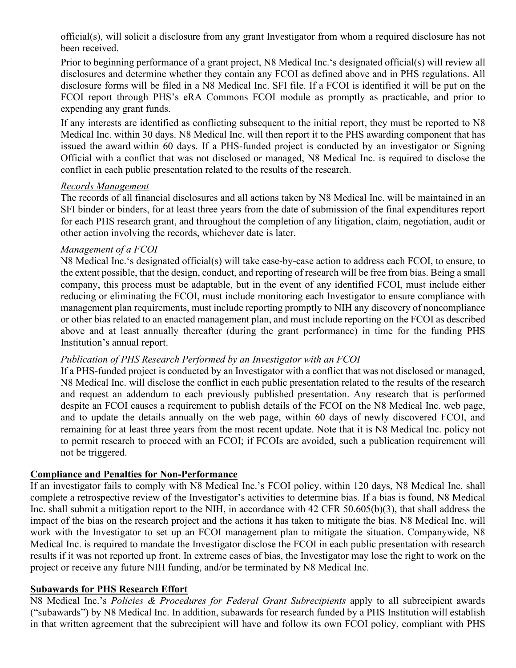official(s), will solicit a disclosure from any grant Investigator from whom a required disclosure has not been received.

Prior to beginning performance of a grant project, N8 Medical Inc.'s designated official(s) will review all disclosures and determine whether they contain any FCOI as defined above and in PHS regulations. All disclosure forms will be filed in a N8 Medical Inc. SFI file. If a FCOI is identified it will be put on the FCOI report through PHS's eRA Commons FCOI module as promptly as practicable, and prior to expending any grant funds.

If any interests are identified as conflicting subsequent to the initial report, they must be reported to N8 Medical Inc. within 30 days. N8 Medical Inc. will then report it to the PHS awarding component that has issued the award within 60 days. If a PHS-funded project is conducted by an investigator or Signing Official with a conflict that was not disclosed or managed, N8 Medical Inc. is required to disclose the conflict in each public presentation related to the results of the research.

## *Records Management*

The records of all financial disclosures and all actions taken by N8 Medical Inc. will be maintained in an SFI binder or binders, for at least three years from the date of submission of the final expenditures report for each PHS research grant, and throughout the completion of any litigation, claim, negotiation, audit or other action involving the records, whichever date is later.

#### *Management of a FCOI*

N8 Medical Inc.'s designated official(s) will take case-by-case action to address each FCOI, to ensure, to the extent possible, that the design, conduct, and reporting of research will be free from bias. Being a small company, this process must be adaptable, but in the event of any identified FCOI, must include either reducing or eliminating the FCOI, must include monitoring each Investigator to ensure compliance with management plan requirements, must include reporting promptly to NIH any discovery of noncompliance or other bias related to an enacted management plan, and must include reporting on the FCOI as described above and at least annually thereafter (during the grant performance) in time for the funding PHS Institution's annual report.

## *Publication of PHS Research Performed by an Investigator with an FCOI*

If a PHS-funded project is conducted by an Investigator with a conflict that was not disclosed or managed, N8 Medical Inc. will disclose the conflict in each public presentation related to the results of the research and request an addendum to each previously published presentation. Any research that is performed despite an FCOI causes a requirement to publish details of the FCOI on the N8 Medical Inc. web page, and to update the details annually on the web page, within 60 days of newly discovered FCOI, and remaining for at least three years from the most recent update. Note that it is N8 Medical Inc. policy not to permit research to proceed with an FCOI; if FCOIs are avoided, such a publication requirement will not be triggered.

## **Compliance and Penalties for Non-Performance**

If an investigator fails to comply with N8 Medical Inc.'s FCOI policy, within 120 days, N8 Medical Inc. shall complete a retrospective review of the Investigator's activities to determine bias. If a bias is found, N8 Medical Inc. shall submit a mitigation report to the NIH, in accordance with 42 CFR 50.605(b)(3), that shall address the impact of the bias on the research project and the actions it has taken to mitigate the bias. N8 Medical Inc. will work with the Investigator to set up an FCOI management plan to mitigate the situation. Companywide, N8 Medical Inc. is required to mandate the Investigator disclose the FCOI in each public presentation with research results if it was not reported up front. In extreme cases of bias, the Investigator may lose the right to work on the project or receive any future NIH funding, and/or be terminated by N8 Medical Inc.

## **Subawards for PHS Research Effort**

N8 Medical Inc.'s *Policies & Procedures for Federal Grant Subrecipients* apply to all subrecipient awards ("subawards") by N8 Medical Inc. In addition, subawards for research funded by a PHS Institution will establish in that written agreement that the subrecipient will have and follow its own FCOI policy, compliant with PHS